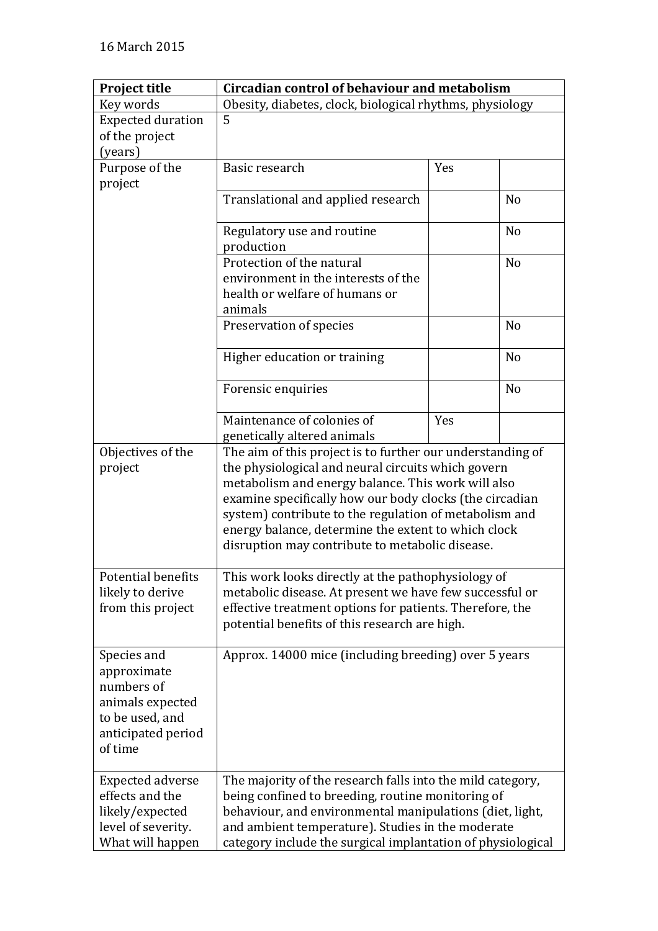| <b>Project title</b>                                                                                             | Circadian control of behaviour and metabolism                                                                                                                                                                                                                                                                                                                                                         |     |                |
|------------------------------------------------------------------------------------------------------------------|-------------------------------------------------------------------------------------------------------------------------------------------------------------------------------------------------------------------------------------------------------------------------------------------------------------------------------------------------------------------------------------------------------|-----|----------------|
| Key words                                                                                                        | Obesity, diabetes, clock, biological rhythms, physiology                                                                                                                                                                                                                                                                                                                                              |     |                |
| <b>Expected duration</b>                                                                                         | 5                                                                                                                                                                                                                                                                                                                                                                                                     |     |                |
| of the project                                                                                                   |                                                                                                                                                                                                                                                                                                                                                                                                       |     |                |
| (years)                                                                                                          |                                                                                                                                                                                                                                                                                                                                                                                                       |     |                |
| Purpose of the                                                                                                   | Basic research                                                                                                                                                                                                                                                                                                                                                                                        | Yes |                |
| project                                                                                                          |                                                                                                                                                                                                                                                                                                                                                                                                       |     |                |
|                                                                                                                  | Translational and applied research                                                                                                                                                                                                                                                                                                                                                                    |     | N <sub>0</sub> |
|                                                                                                                  | Regulatory use and routine<br>production                                                                                                                                                                                                                                                                                                                                                              |     | N <sub>o</sub> |
|                                                                                                                  | Protection of the natural                                                                                                                                                                                                                                                                                                                                                                             |     | N <sub>o</sub> |
|                                                                                                                  | environment in the interests of the                                                                                                                                                                                                                                                                                                                                                                   |     |                |
|                                                                                                                  | health or welfare of humans or                                                                                                                                                                                                                                                                                                                                                                        |     |                |
|                                                                                                                  | animals                                                                                                                                                                                                                                                                                                                                                                                               |     |                |
|                                                                                                                  |                                                                                                                                                                                                                                                                                                                                                                                                       |     |                |
|                                                                                                                  | Preservation of species                                                                                                                                                                                                                                                                                                                                                                               |     | N <sub>0</sub> |
|                                                                                                                  | Higher education or training                                                                                                                                                                                                                                                                                                                                                                          |     | N <sub>o</sub> |
|                                                                                                                  | Forensic enquiries                                                                                                                                                                                                                                                                                                                                                                                    |     | N <sub>o</sub> |
|                                                                                                                  | Maintenance of colonies of                                                                                                                                                                                                                                                                                                                                                                            | Yes |                |
|                                                                                                                  | genetically altered animals                                                                                                                                                                                                                                                                                                                                                                           |     |                |
| Objectives of the<br>project                                                                                     | The aim of this project is to further our understanding of<br>the physiological and neural circuits which govern<br>metabolism and energy balance. This work will also<br>examine specifically how our body clocks (the circadian<br>system) contribute to the regulation of metabolism and<br>energy balance, determine the extent to which clock<br>disruption may contribute to metabolic disease. |     |                |
| Potential benefits                                                                                               | This work looks directly at the pathophysiology of                                                                                                                                                                                                                                                                                                                                                    |     |                |
| likely to derive                                                                                                 | metabolic disease. At present we have few successful or                                                                                                                                                                                                                                                                                                                                               |     |                |
| from this project                                                                                                | effective treatment options for patients. Therefore, the                                                                                                                                                                                                                                                                                                                                              |     |                |
|                                                                                                                  | potential benefits of this research are high.                                                                                                                                                                                                                                                                                                                                                         |     |                |
| Species and<br>approximate<br>numbers of<br>animals expected<br>to be used, and<br>anticipated period<br>of time | Approx. 14000 mice (including breeding) over 5 years                                                                                                                                                                                                                                                                                                                                                  |     |                |
| <b>Expected adverse</b>                                                                                          | The majority of the research falls into the mild category,                                                                                                                                                                                                                                                                                                                                            |     |                |
| effects and the                                                                                                  | being confined to breeding, routine monitoring of                                                                                                                                                                                                                                                                                                                                                     |     |                |
| likely/expected                                                                                                  | behaviour, and environmental manipulations (diet, light,                                                                                                                                                                                                                                                                                                                                              |     |                |
| level of severity.                                                                                               | and ambient temperature). Studies in the moderate                                                                                                                                                                                                                                                                                                                                                     |     |                |
| What will happen                                                                                                 | category include the surgical implantation of physiological                                                                                                                                                                                                                                                                                                                                           |     |                |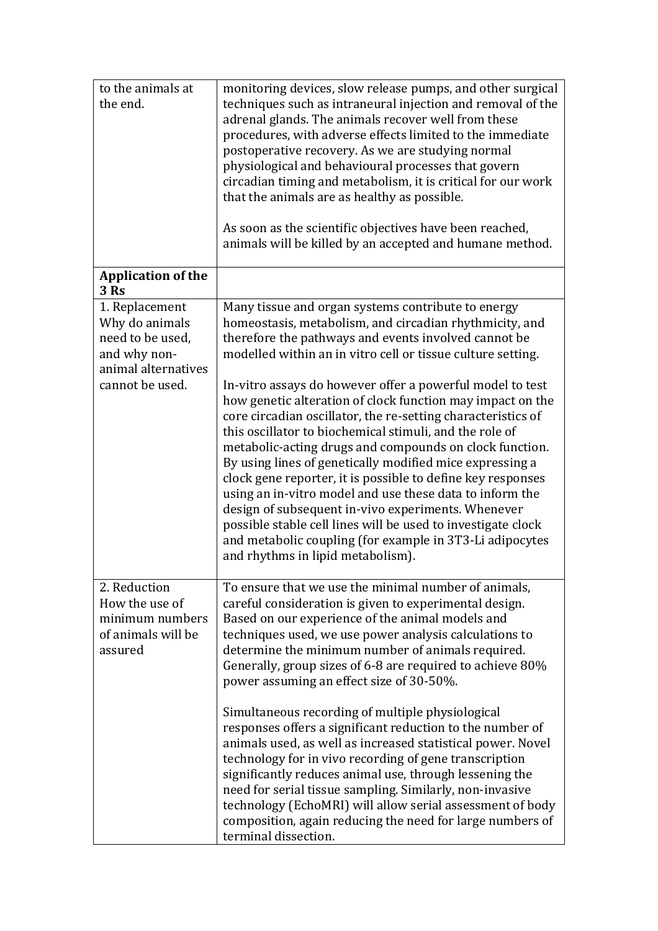| to the animals at<br>the end.                                                                                  | monitoring devices, slow release pumps, and other surgical<br>techniques such as intraneural injection and removal of the<br>adrenal glands. The animals recover well from these<br>procedures, with adverse effects limited to the immediate<br>postoperative recovery. As we are studying normal<br>physiological and behavioural processes that govern<br>circadian timing and metabolism, it is critical for our work<br>that the animals are as healthy as possible.                                       |
|----------------------------------------------------------------------------------------------------------------|-----------------------------------------------------------------------------------------------------------------------------------------------------------------------------------------------------------------------------------------------------------------------------------------------------------------------------------------------------------------------------------------------------------------------------------------------------------------------------------------------------------------|
|                                                                                                                | As soon as the scientific objectives have been reached,<br>animals will be killed by an accepted and humane method.                                                                                                                                                                                                                                                                                                                                                                                             |
| <b>Application of the</b><br><b>3 Rs</b>                                                                       |                                                                                                                                                                                                                                                                                                                                                                                                                                                                                                                 |
| 1. Replacement<br>Why do animals<br>need to be used,<br>and why non-<br>animal alternatives<br>cannot be used. | Many tissue and organ systems contribute to energy<br>homeostasis, metabolism, and circadian rhythmicity, and<br>therefore the pathways and events involved cannot be<br>modelled within an in vitro cell or tissue culture setting.<br>In-vitro assays do however offer a powerful model to test<br>how genetic alteration of clock function may impact on the<br>core circadian oscillator, the re-setting characteristics of<br>this oscillator to biochemical stimuli, and the role of                      |
|                                                                                                                | metabolic-acting drugs and compounds on clock function.<br>By using lines of genetically modified mice expressing a<br>clock gene reporter, it is possible to define key responses<br>using an in-vitro model and use these data to inform the<br>design of subsequent in-vivo experiments. Whenever<br>possible stable cell lines will be used to investigate clock<br>and metabolic coupling (for example in 3T3-Li adipocytes<br>and rhythms in lipid metabolism).                                           |
| 2. Reduction<br>How the use of<br>minimum numbers<br>of animals will be<br>assured                             | To ensure that we use the minimal number of animals,<br>careful consideration is given to experimental design.<br>Based on our experience of the animal models and<br>techniques used, we use power analysis calculations to<br>determine the minimum number of animals required.<br>Generally, group sizes of 6-8 are required to achieve 80%<br>power assuming an effect size of 30-50%.                                                                                                                      |
|                                                                                                                | Simultaneous recording of multiple physiological<br>responses offers a significant reduction to the number of<br>animals used, as well as increased statistical power. Novel<br>technology for in vivo recording of gene transcription<br>significantly reduces animal use, through lessening the<br>need for serial tissue sampling. Similarly, non-invasive<br>technology (EchoMRI) will allow serial assessment of body<br>composition, again reducing the need for large numbers of<br>terminal dissection. |